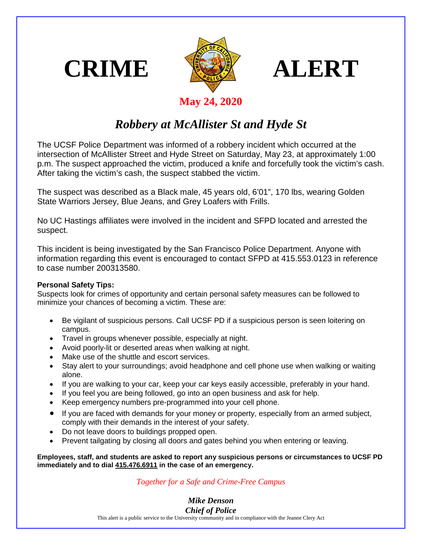





## **May 24, 2020**

## *Robbery at McAllister St and Hyde St*

The UCSF Police Department was informed of a robbery incident which occurred at the intersection of McAllister Street and Hyde Street on Saturday, May 23, at approximately 1:00 p.m. The suspect approached the victim, produced a knife and forcefully took the victim's cash. After taking the victim's cash, the suspect stabbed the victim.

The suspect was described as a Black male, 45 years old, 6'01", 170 lbs, wearing Golden State Warriors Jersey, Blue Jeans, and Grey Loafers with Frills.

No UC Hastings affiliates were involved in the incident and SFPD located and arrested the suspect.

This incident is being investigated by the San Francisco Police Department. Anyone with information regarding this event is encouraged to contact SFPD at 415.553.0123 in reference to case number 200313580.

## **Personal Safety Tips:**

Suspects look for crimes of opportunity and certain personal safety measures can be followed to minimize your chances of becoming a victim. These are:

- Be vigilant of suspicious persons. Call UCSF PD if a suspicious person is seen loitering on campus.
- Travel in groups whenever possible, especially at night.
- Avoid poorly-lit or deserted areas when walking at night.
- Make use of the shuttle and escort services.
- Stay alert to your surroundings; avoid headphone and cell phone use when walking or waiting alone.
- If you are walking to your car, keep your car keys easily accessible, preferably in your hand.
- If you feel you are being followed, go into an open business and ask for help.
- Keep emergency numbers pre-programmed into your cell phone.
- If you are faced with demands for your money or property, especially from an armed subject, comply with their demands in the interest of your safety.
- Do not leave doors to buildings propped open.
- Prevent tailgating by closing all doors and gates behind you when entering or leaving.

**Employees, staff, and students are asked to report any suspicious persons or circumstances to UCSF PD immediately and to dial 415.476.6911 in the case of an emergency.**

## *Together for a Safe and Crime-Free Campus*

*Mike Denson Chief of Police*

This alert is a public service to the University community and in compliance with the Jeanne Clery Act